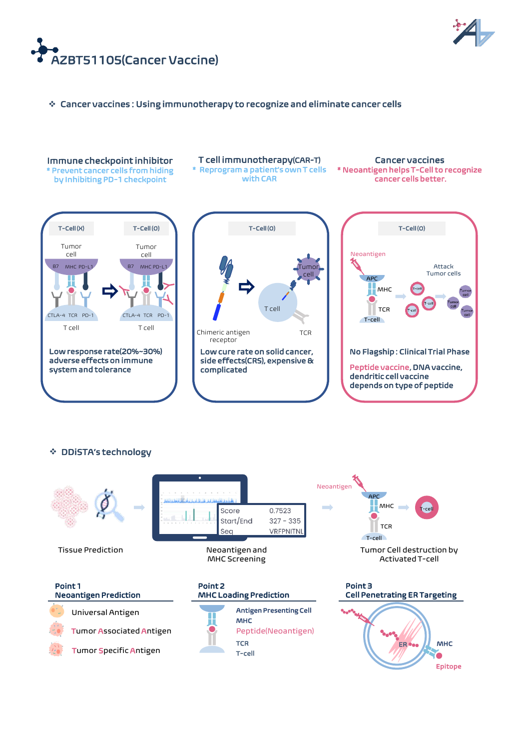



❖ Cancer vaccines : Using immunotherapy to recognize and eliminate cancer cells

Immune checkpoint inhibitor

\* Prevent cancer cells from hiding by Inhibiting PD-1 checkpoint

## T cell immunotherapy(CAR-T)

Reprogram a patient's own T cells with CAR

Cancer vaccines \* Neoantigen helps T-Cell to recognize cancer cells better.







## ❖ DDiSTA's technology